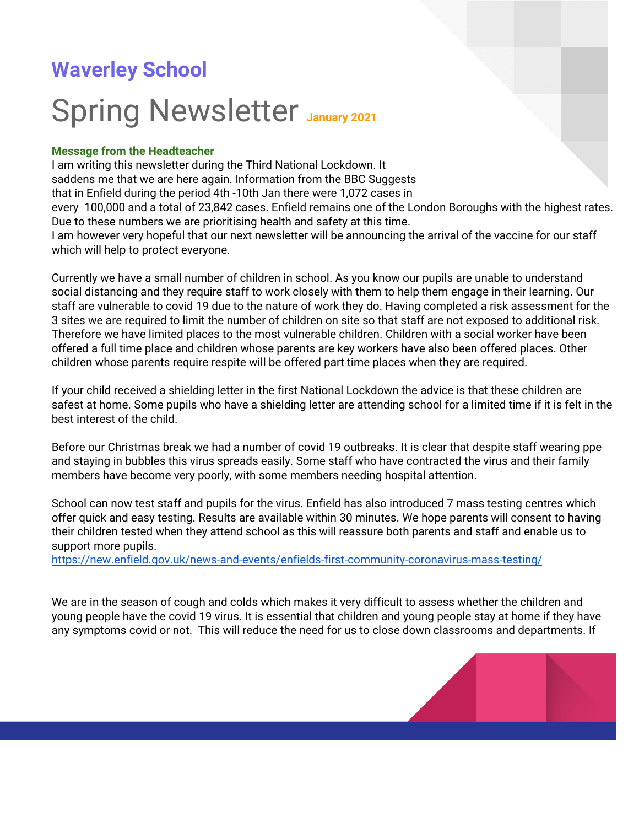# **Waverley School**

# Spring Newsletter **January <sup>2021</sup>**

#### **Message from the Headteacher**

I am writing this newsletter during the Third National Lockdown. It saddens me that we are here again. Information from the BBC Suggests that in Enfield during the period 4th -10th Jan there were 1,072 cases in every 100,000 and a total of 23,842 cases. Enfield remains one of the London Boroughs with the highest rates. Due to these numbers we are prioritising health and safety at this time. I am however very hopeful that our next newsletter will be announcing the arrival of the vaccine for our staff which will help to protect everyone.

Currently we have a small number of children in school. As you know our pupils are unable to understand social distancing and they require staff to work closely with them to help them engage in their learning. Our staff are vulnerable to covid 19 due to the nature of work they do. Having completed a risk assessment for the 3 sites we are required to limit the number of children on site so that staff are not exposed to additional risk. Therefore we have limited places to the most vulnerable children. Children with a social worker have been offered a full time place and children whose parents are key workers have also been offered places. Other children whose parents require respite will be offered part time places when they are required.

If your child received a shielding letter in the first National Lockdown the advice is that these children are safest at home. Some pupils who have a shielding letter are attending school for a limited time if it is felt in the best interest of the child.

Before our Christmas break we had a number of covid 19 outbreaks. It is clear that despite staff wearing ppe and staying in bubbles this virus spreads easily. Some staff who have contracted the virus and their family members have become very poorly, with some members needing hospital attention.

School can now test staff and pupils for the virus. Enfield has also introduced 7 mass testing centres which offer quick and easy testing. Results are available within 30 minutes. We hope parents will consent to having their children tested when they attend school as this will reassure both parents and staff and enable us to support more pupils.

<https://new.enfield.gov.uk/news-and-events/enfields-first-community-coronavirus-mass-testing/>

We are in the season of cough and colds which makes it very difficult to assess whether the children and young people have the covid 19 virus. It is essential that children and young people stay at home if they have any symptoms covid or not. This will reduce the need for us to close down classrooms and departments. If

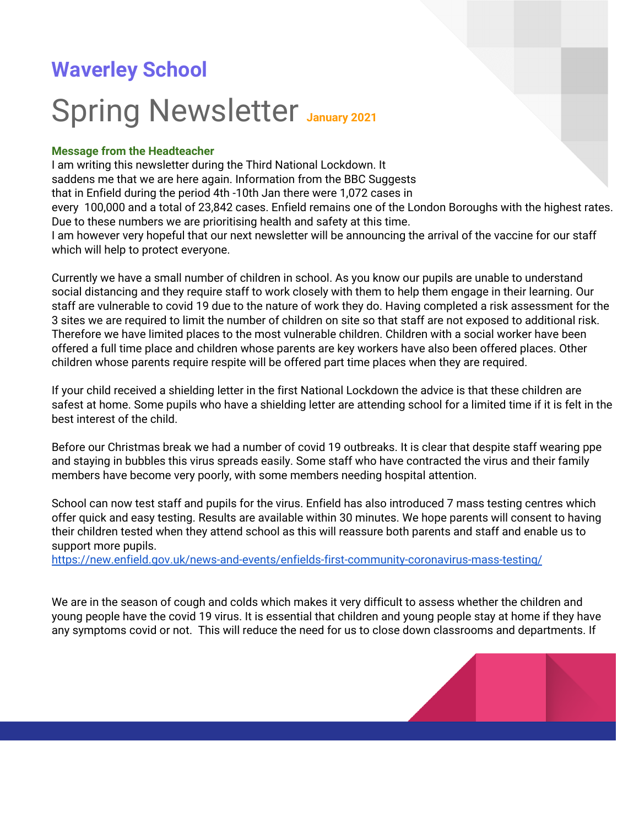you or anyone in your household has a cough, high temperature or loss of taste or smell the whole household **must** isolate until the person with the symptoms has had the results of the test. If you send your child into school while a member of the household has symptoms you are placing the staff and pupils at risk. **Please follow this rule strictly,** so we can all stay safe**.**

**Visitors** We are currently not open to visitors.



#### **Home learning**

I am really impressed that we now have 99% of families signed into class dojo. You are using class dojo well and I hope you are finding it useful.

Below is a summary of last week's activities on class dojo

### Messages sent to families

**774 Last week**





Positive feedback % **100% Last week**

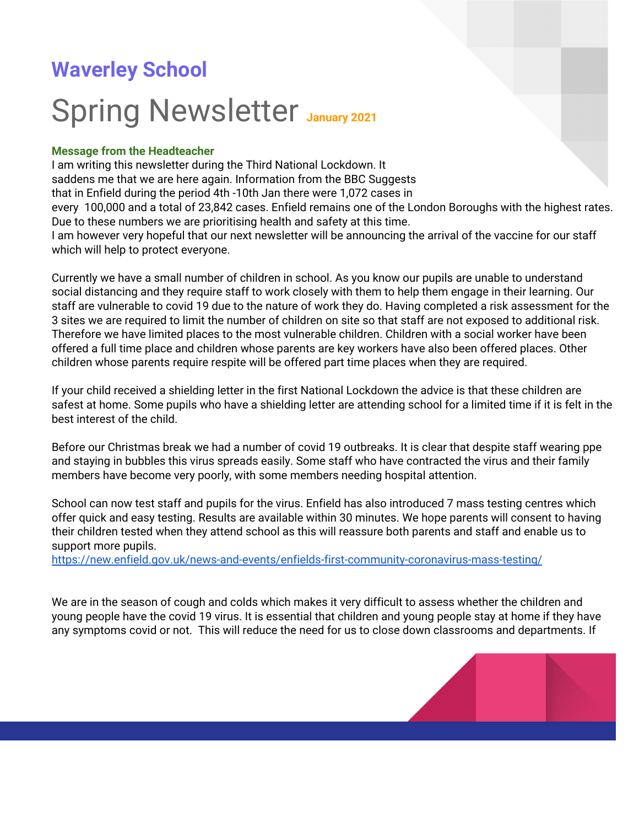You will have been contacted by a member of the class team to discuss remote learning for your child. Please support this as much as you can. If however you are balancing work and remote learning please be kind to yourselves. You are great parents and are managing this difficult situation well. We have you all in our minds every day and we can't wait to return to a time when we can have everyone back into school. For now use your key worker to assist you with home learning as much as you can manage and try to find ways to have fun at least once a day.

**Waverley Association for Special People (WASP)** WASP are always eager to hear your fundraising ideas. If you would like to make a donation you can do it through the school website or click the link below:-<http://waverley-school.com/for-everyone-2/wasp/>



**Fundraising School Playground** Can you help ? We need to raise £ 76,796 to complete the final phase.

#### **Waverley School**

Read more on our [website](http://waverley-school.com/) Please keep an eye on our website for updates. There are new policies on the website, these include the safeguarding policy. Please take a few moments to read these policies as they hold a lot of information about the school.



**Providing Free school meals to voucher during Covid.** Pupils that were not in school the first week of January 2021, would have received £10 supermarket vouchers. If your child came in two days they would have received £5.

The week beginning the 11th January 2021, you will receive £12.50. If your child is at school your child will receive their meal at school. Some families may receive **additional funds** to repay the under funding received last week. The vouchers are only for pupils eligible for free school meals and year groups Reception to Year 2.

**Edenred:** The Department of Education informed schools this week that families are entitled to £15 per week, this will be sent to you fortnightly starting the 18th January 2021. This will either be sent directly to you by edenred or via the school email. We will of course try and keep you informed of any changes. This is only for pupils eligible for **free school meals and pupils whose parents no recourse to public funds.**



**Food Bank** We have a small food bank running in school with donations from staff, families and Morrisons. If you are in need of support from the food bank let your class teacher know and we can arrange for a parcel to be delivered to you. We cannot rely on these donations on a regular basis so if you require weekly support please contact the local food banks or your social worker.